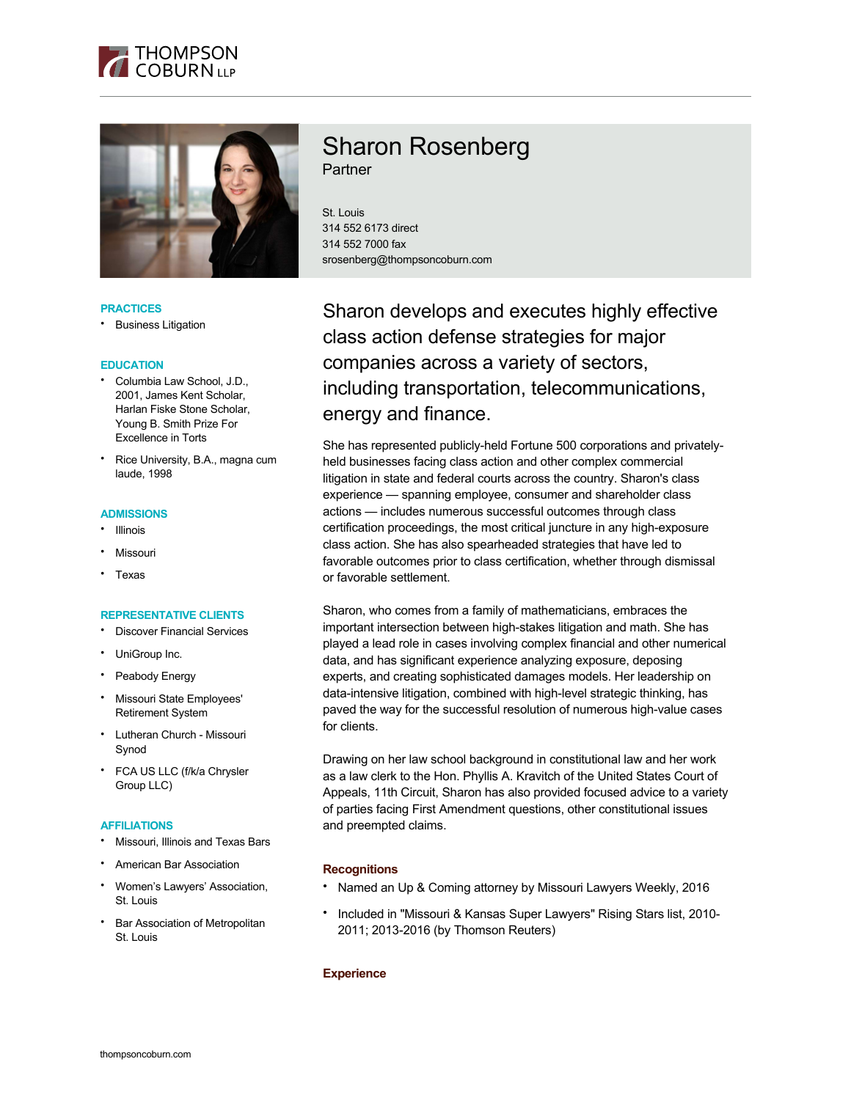



#### **PRACTICES**

• Business Litigation

#### **EDUCATION**

- Columbia Law School, J.D., 2001, James Kent Scholar, Harlan Fiske Stone Scholar, Young B. Smith Prize For Excellence in Torts
- Rice University, B.A., magna cum laude, 1998

#### **ADMISSIONS**

- **Illinois**
- **Missouri**
- Texas

#### **REPRESENTATIVE CLIENTS**

- Discover Financial Services
- UniGroup Inc.
- Peabody Energy
- Missouri State Employees' Retirement System
- Lutheran Church Missouri Synod
- FCA US LLC (f/k/a Chrysler Group LLC)

#### **AFFILIATIONS**

- Missouri, Illinois and Texas Bars
- American Bar Association
- Women's Lawyers' Association, St. Louis
- Bar Association of Metropolitan St. Louis

# Sharon Rosenberg **Partner**

St. Louis 314 552 6173 direct 314 552 7000 fax srosenberg@thompsoncoburn.com

Sharon develops and executes highly effective class action defense strategies for major companies across a variety of sectors, including transportation, telecommunications, energy and finance.

She has represented publicly-held Fortune 500 corporations and privatelyheld businesses facing class action and other complex commercial litigation in state and federal courts across the country. Sharon's class experience — spanning employee, consumer and shareholder class actions — includes numerous successful outcomes through class certification proceedings, the most critical juncture in any high-exposure class action. She has also spearheaded strategies that have led to favorable outcomes prior to class certification, whether through dismissal or favorable settlement.

Sharon, who comes from a family of mathematicians, embraces the important intersection between high-stakes litigation and math. She has played a lead role in cases involving complex financial and other numerical data, and has significant experience analyzing exposure, deposing experts, and creating sophisticated damages models. Her leadership on data-intensive litigation, combined with high-level strategic thinking, has paved the way for the successful resolution of numerous high-value cases for clients.

Drawing on her law school background in constitutional law and her work as a law clerk to the Hon. Phyllis A. Kravitch of the United States Court of Appeals, 11th Circuit, Sharon has also provided focused advice to a variety of parties facing First Amendment questions, other constitutional issues and preempted claims.

# **Recognitions**

- Named an Up & Coming attorney by Missouri Lawyers Weekly, 2016
- Included in "Missouri & Kansas Super Lawyers" Rising Stars list, 2010- 2011; 2013-2016 (by Thomson Reuters)

# **Experience**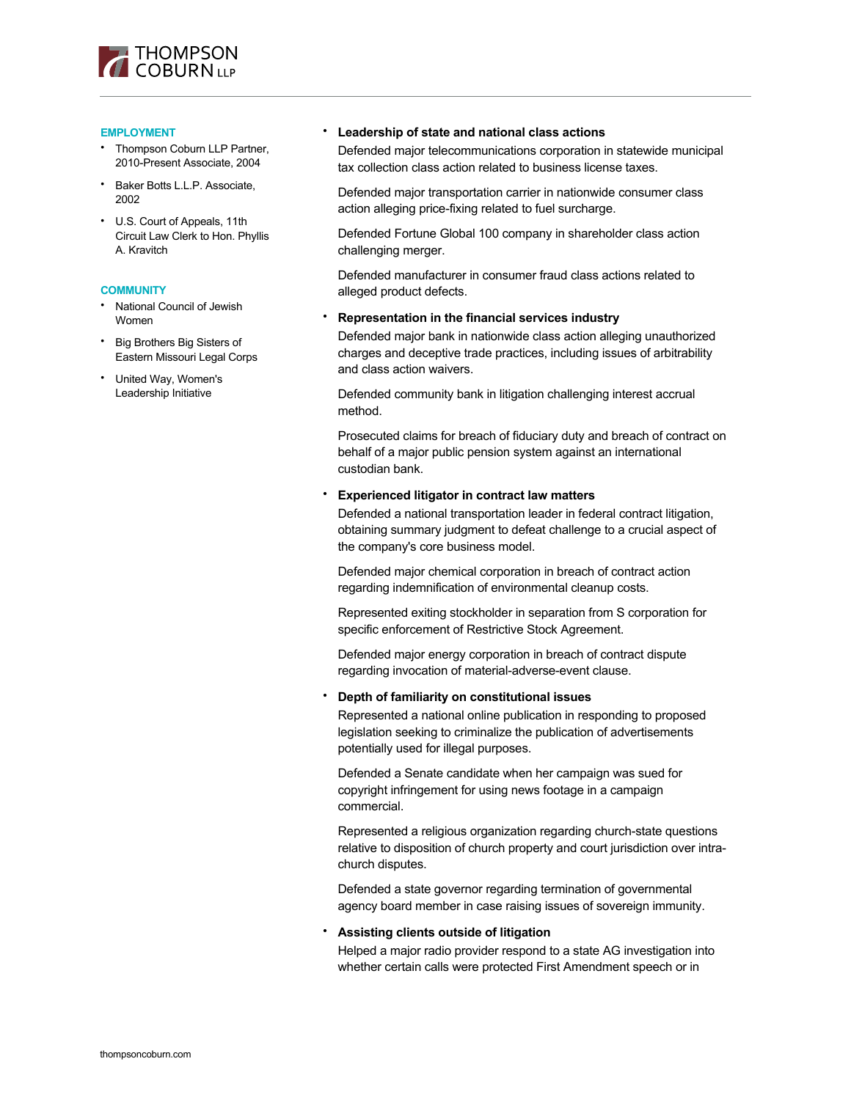

#### **EMPLOYMENT**

- Thompson Coburn LLP Partner, 2010-Present Associate, 2004
- Baker Botts L.L.P. Associate, 2002
- U.S. Court of Appeals, 11th Circuit Law Clerk to Hon. Phyllis A. Kravitch

#### **COMMUNITY**

- National Council of Jewish Women
- Big Brothers Big Sisters of Eastern Missouri Legal Corps
- United Way, Women's Leadership Initiative

## • **Leadership of state and national class actions**

Defended major telecommunications corporation in statewide municipal tax collection class action related to business license taxes.

Defended major transportation carrier in nationwide consumer class action alleging price-fixing related to fuel surcharge.

Defended Fortune Global 100 company in shareholder class action challenging merger.

Defended manufacturer in consumer fraud class actions related to alleged product defects.

• **Representation in the financial services industry**

Defended major bank in nationwide class action alleging unauthorized charges and deceptive trade practices, including issues of arbitrability and class action waivers.

Defended community bank in litigation challenging interest accrual method.

Prosecuted claims for breach of fiduciary duty and breach of contract on behalf of a major public pension system against an international custodian bank.

## • **Experienced litigator in contract law matters**

Defended a national transportation leader in federal contract litigation, obtaining summary judgment to defeat challenge to a crucial aspect of the company's core business model.

Defended major chemical corporation in breach of contract action regarding indemnification of environmental cleanup costs.

Represented exiting stockholder in separation from S corporation for specific enforcement of Restrictive Stock Agreement.

Defended major energy corporation in breach of contract dispute regarding invocation of material-adverse-event clause.

#### • **Depth of familiarity on constitutional issues**

Represented a national online publication in responding to proposed legislation seeking to criminalize the publication of advertisements potentially used for illegal purposes.

Defended a Senate candidate when her campaign was sued for copyright infringement for using news footage in a campaign commercial.

Represented a religious organization regarding church-state questions relative to disposition of church property and court jurisdiction over intrachurch disputes.

Defended a state governor regarding termination of governmental agency board member in case raising issues of sovereign immunity.

#### • **Assisting clients outside of litigation**

Helped a major radio provider respond to a state AG investigation into whether certain calls were protected First Amendment speech or in